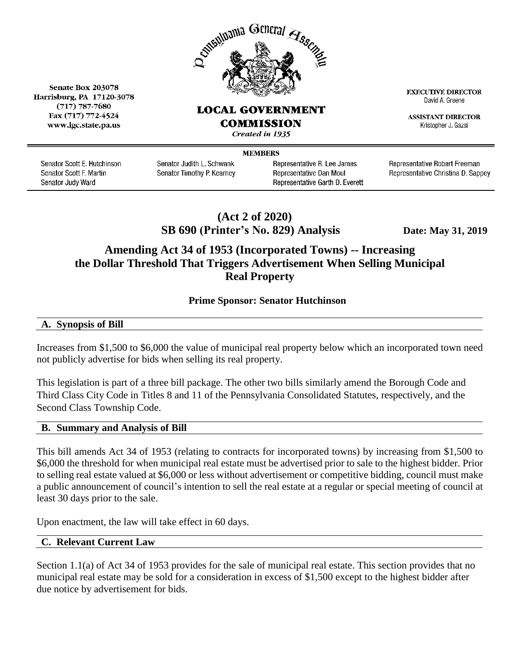

## **LOCAL GOVERNMENT**

Fax (717) 772-4524 www.lgc.state.pa.us

Senate Box 203078

Harrisburg, PA 17120-3078

 $(717)$  787-7680

**COMMISSION** 

Created in 1935

**MEMBERS** 

Senator Scott E. Hutchinson Senator Scott F. Martin Senator Judy Ward

Senator Judith L. Schwank Senator Timothy P. Kearney Representative R. Lee James Representative Dan Moul Representative Garth D. Everett Representative Robert Freeman

**EXECUTIVE DIRECTOR** 

David A. Greene

**ASSISTANT DIRECTOR** 

Kristopher J. Gazsi

Representative Christina D. Sappey

## **(Act 2 of 2020) SB 690 (Printer's No. 829) Analysis Date: May 31, 2019**

# **Amending Act 34 of 1953 (Incorporated Towns) -- Increasing the Dollar Threshold That Triggers Advertisement When Selling Municipal Real Property**

## **Prime Sponsor: Senator Hutchinson**

**A. Synopsis of Bill**

Increases from \$1,500 to \$6,000 the value of municipal real property below which an incorporated town need not publicly advertise for bids when selling its real property.

This legislation is part of a three bill package. The other two bills similarly amend the Borough Code and Third Class City Code in Titles 8 and 11 of the Pennsylvania Consolidated Statutes, respectively, and the Second Class Township Code.

### **B. Summary and Analysis of Bill**

This bill amends Act 34 of 1953 (relating to contracts for incorporated towns) by increasing from \$1,500 to \$6,000 the threshold for when municipal real estate must be advertised prior to sale to the highest bidder. Prior to selling real estate valued at \$6,000 or less without advertisement or competitive bidding, council must make a public announcement of council's intention to sell the real estate at a regular or special meeting of council at least 30 days prior to the sale.

Upon enactment, the law will take effect in 60 days.

### **C. Relevant Current Law**

Section 1.1(a) of Act 34 of 1953 provides for the sale of municipal real estate. This section provides that no municipal real estate may be sold for a consideration in excess of \$1,500 except to the highest bidder after due notice by advertisement for bids.